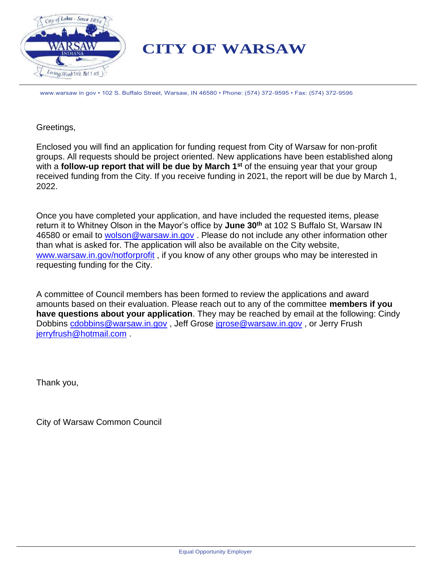

# **CITY OF WARSAW**

www.warsaw in gov • 102 S. Buffalo Street, Warsaw, IN 46580 • Phone: (574) 372-9595 • Fax: (574) 372-9596

### Greetings,

Enclosed you will find an application for funding request from City of Warsaw for non-profit groups. All requests should be project oriented. New applications have been established along with a **follow-up report that will be due by March 1st** of the ensuing year that your group received funding from the City. If you receive funding in 2021, the report will be due by March 1, 2022.

Once you have completed your application, and have included the requested items, please return it to Whitney Olson in the Mayor's office by **June 30th** at 102 S Buffalo St, Warsaw IN 46580 or email to [wolson@warsaw.in.gov](mailto:wolson@warsaw.in.gov). Please do not include any other information other than what is asked for. The application will also be available on the City website, [www.warsaw.in.gov/notforprofit](http://www.warsaw.in.gov/notforprofit) , if you know of any other groups who may be interested in requesting funding for the City.

A committee of Council members has been formed to review the applications and award amounts based on their evaluation. Please reach out to any of the committee **members if you have questions about your application**. They may be reached by email at the following: Cindy Dobbins [cdobbins@warsaw.in.gov](mailto:cdobbins@warsaw.in.gov) , Jeff Grose [jgrose@warsaw.in.gov](mailto:jgrose@warsaw.in.gov) , or Jerry Frush [jerryfrush@hotmail.com](mailto:jerryfrush@hotmail.com) .

Thank you,

City of Warsaw Common Council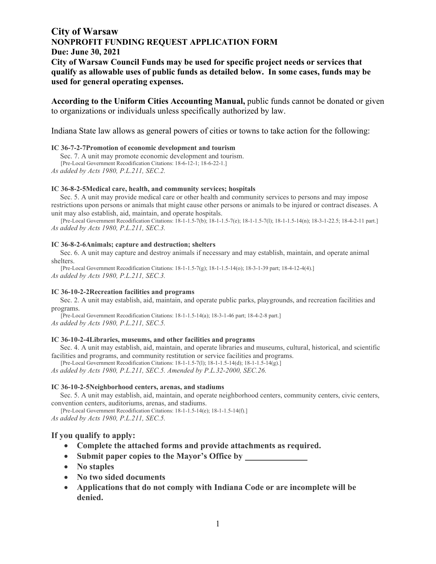# **City of Warsaw NONPROFIT FUNDING REQUEST APPLICATION FORM Due: June 30, 2021 City of Warsaw Council Funds may be used for specific project needs or services that qualify as allowable uses of public funds as detailed below. In some cases, funds may be used for general operating expenses.**

**According to the Uniform Cities Accounting Manual,** public funds cannot be donated or given to organizations or individuals unless specifically authorized by law.

Indiana State law allows as general powers of cities or towns to take action for the following:

#### **IC 36-7-2-7Promotion of economic development and tourism**

 Sec. 7. A unit may promote economic development and tourism. [Pre-Local Government Recodification Citations: 18-6-12-1; 18-6-22-1.]

*As added by Acts 1980, P.L.211, SEC.2.*

#### **IC 36-8-2-5Medical care, health, and community services; hospitals**

 Sec. 5. A unit may provide medical care or other health and community services to persons and may impose restrictions upon persons or animals that might cause other persons or animals to be injured or contract diseases. A unit may also establish, aid, maintain, and operate hospitals.

[Pre-Local Government Recodification Citations: 18-1-1.5-7(b); 18-1-1.5-7(e); 18-1-1.5-7(l); 18-1-1.5-14(n); 18-3-1-22.5; 18-4-2-11 part.] *As added by Acts 1980, P.L.211, SEC.3.*

#### **IC 36-8-2-6Animals; capture and destruction; shelters**

 Sec. 6. A unit may capture and destroy animals if necessary and may establish, maintain, and operate animal shelters.

[Pre-Local Government Recodification Citations: 18-1-1.5-7(g); 18-1-1.5-14(o); 18-3-1-39 part; 18-4-12-4(4).] *As added by Acts 1980, P.L.211, SEC.3.*

#### **IC 36-10-2-2Recreation facilities and programs**

 Sec. 2. A unit may establish, aid, maintain, and operate public parks, playgrounds, and recreation facilities and programs.

[Pre-Local Government Recodification Citations: 18-1-1.5-14(a); 18-3-1-46 part; 18-4-2-8 part.] *As added by Acts 1980, P.L.211, SEC.5.*

#### **IC 36-10-2-4Libraries, museums, and other facilities and programs**

 Sec. 4. A unit may establish, aid, maintain, and operate libraries and museums, cultural, historical, and scientific facilities and programs, and community restitution or service facilities and programs.

[Pre-Local Government Recodification Citations: 18-1-1.5-7(l); 18-1-1.5-14(d); 18-1-1.5-14(g).]

*As added by Acts 1980, P.L.211, SEC.5. Amended by P.L.32-2000, SEC.26.*

#### **IC 36-10-2-5Neighborhood centers, arenas, and stadiums**

 Sec. 5. A unit may establish, aid, maintain, and operate neighborhood centers, community centers, civic centers, convention centers, auditoriums, arenas, and stadiums.

[Pre-Local Government Recodification Citations: 18-1-1.5-14(e); 18-1-1.5-14(f).] *As added by Acts 1980, P.L.211, SEC.5.*

### **If you qualify to apply:**

- **Complete the attached forms and provide attachments as required.**
- **Submit paper copies to the Mayor's Office by**
- **No staples**
- **No two sided documents**
- **Applications that do not comply with Indiana Code or are incomplete will be denied.**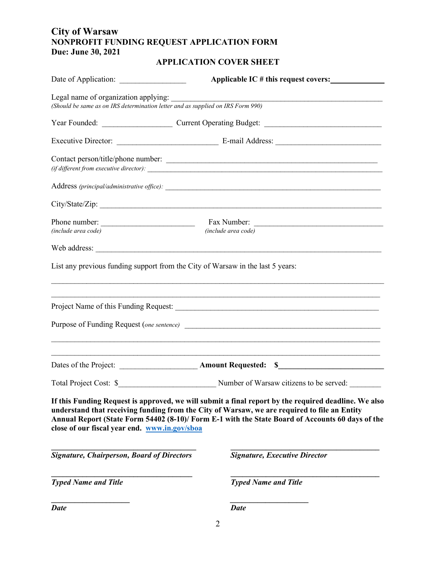# **City of Warsaw NONPROFIT FUNDING REQUEST APPLICATION FORM Due: June 30, 2021**

# **APPLICATION COVER SHEET**

|                                                                                                                         | Applicable IC # this request covers:                                                                                                                                                                                                                                                                     |  |  |
|-------------------------------------------------------------------------------------------------------------------------|----------------------------------------------------------------------------------------------------------------------------------------------------------------------------------------------------------------------------------------------------------------------------------------------------------|--|--|
| Legal name of organization applying:<br>(Should be same as on IRS determination letter and as supplied on IRS Form 990) | <u> 1989 - Johann Harry Harry Harry Harry Harry Harry Harry Harry Harry Harry Harry Harry Harry Harry Harry Harry</u>                                                                                                                                                                                    |  |  |
|                                                                                                                         |                                                                                                                                                                                                                                                                                                          |  |  |
|                                                                                                                         |                                                                                                                                                                                                                                                                                                          |  |  |
|                                                                                                                         | Contact person/title/phone number:<br>$(iif$ different from executive director): $\frac{1}{1}$                                                                                                                                                                                                           |  |  |
|                                                                                                                         |                                                                                                                                                                                                                                                                                                          |  |  |
|                                                                                                                         | City/State/Zip:                                                                                                                                                                                                                                                                                          |  |  |
| Phone number:<br>(include area code)                                                                                    | (include area code)                                                                                                                                                                                                                                                                                      |  |  |
|                                                                                                                         |                                                                                                                                                                                                                                                                                                          |  |  |
| List any previous funding support from the City of Warsaw in the last 5 years:                                          | ,我们也不能在这里的人,我们也不能在这里的人,我们也不能在这里的人,我们也不能在这里的人,我们也不能在这里的人,我们也不能在这里的人,我们也不能在这里的人,我们也                                                                                                                                                                                                                        |  |  |
|                                                                                                                         | ,我们也不能在这里的时候,我们也不能在这里的时候,我们也不能不能不能不能不能不能不能不能不能不能不能不能不能不能不能。""我们的是我们的,我们也不能不能不能不能                                                                                                                                                                                                                         |  |  |
|                                                                                                                         |                                                                                                                                                                                                                                                                                                          |  |  |
|                                                                                                                         |                                                                                                                                                                                                                                                                                                          |  |  |
|                                                                                                                         |                                                                                                                                                                                                                                                                                                          |  |  |
| close of our fiscal year end. www.in.gov/sboa                                                                           | If this Funding Request is approved, we will submit a final report by the required deadline. We also<br>understand that receiving funding from the City of Warsaw, we are required to file an Entity<br>Annual Report (State Form 54402 (8-10)/ Form E-1 with the State Board of Accounts 60 days of the |  |  |
| <b>Signature, Chairperson, Board of Directors</b>                                                                       | <b>Signature, Executive Director</b>                                                                                                                                                                                                                                                                     |  |  |
| <b>Typed Name and Title</b>                                                                                             | <b>Typed Name and Title</b>                                                                                                                                                                                                                                                                              |  |  |
| <b>Date</b>                                                                                                             | <b>Date</b>                                                                                                                                                                                                                                                                                              |  |  |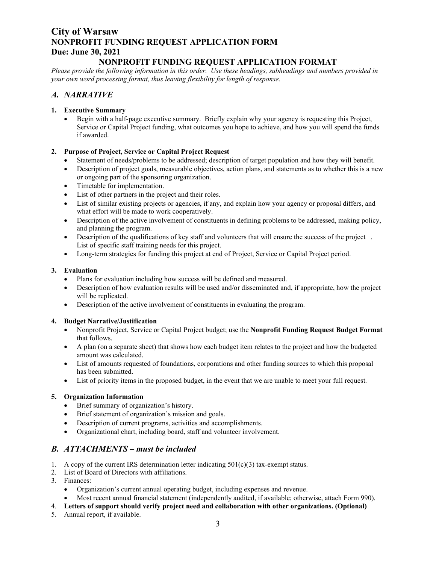# **City of Warsaw NONPROFIT FUNDING REQUEST APPLICATION FORM Due: June 30, 2021**

### **NONPROFIT FUNDING REQUEST APPLICATION FORMAT**

*Please provide the following information in this order. Use these headings, subheadings and numbers provided in your own word processing format, thus leaving flexibility for length of response.*

### *A. NARRATIVE*

### **1. Executive Summary**

• Begin with a half-page executive summary. Briefly explain why your agency is requesting this Project, Service or Capital Project funding, what outcomes you hope to achieve, and how you will spend the funds if awarded.

### **2. Purpose of Project, Service or Capital Project Request**

- Statement of needs/problems to be addressed; description of target population and how they will benefit.
- Description of project goals, measurable objectives, action plans, and statements as to whether this is a new or ongoing part of the sponsoring organization.
- Timetable for implementation.
- List of other partners in the project and their roles.
- List of similar existing projects or agencies, if any, and explain how your agency or proposal differs, and what effort will be made to work cooperatively.
- Description of the active involvement of constituents in defining problems to be addressed, making policy, and planning the program.
- Description of the qualifications of key staff and volunteers that will ensure the success of the project. List of specific staff training needs for this project.
- Long-term strategies for funding this project at end of Project, Service or Capital Project period.

### **3. Evaluation**

- Plans for evaluation including how success will be defined and measured.
- Description of how evaluation results will be used and/or disseminated and, if appropriate, how the project will be replicated.
- Description of the active involvement of constituents in evaluating the program.

### **4. Budget Narrative/Justification**

- Nonprofit Project, Service or Capital Project budget; use the **Nonprofit Funding Request Budget Format** that follows.
- A plan (on a separate sheet) that shows how each budget item relates to the project and how the budgeted amount was calculated.
- List of amounts requested of foundations, corporations and other funding sources to which this proposal has been submitted.
- List of priority items in the proposed budget, in the event that we are unable to meet your full request.

### **5. Organization Information**

- Brief summary of organization's history.
- Brief statement of organization's mission and goals.
- Description of current programs, activities and accomplishments.
- Organizational chart, including board, staff and volunteer involvement.

### *B. ATTACHMENTS – must be included*

- 1. A copy of the current IRS determination letter indicating  $501(c)(3)$  tax-exempt status.
- 2. List of Board of Directors with affiliations.
- 3. Finances:
	- Organization's current annual operating budget, including expenses and revenue.
	- Most recent annual financial statement (independently audited, if available; otherwise, attach Form 990).
- 4. **Letters of support should verify project need and collaboration with other organizations. (Optional)**
- 5. Annual report, if available.